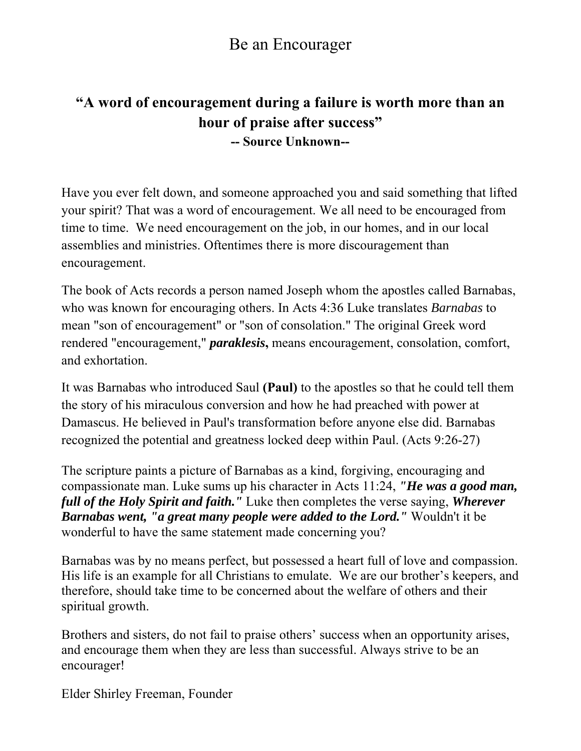# Be an Encourager

# **"A word of encouragement during a failure is worth more than an hour of praise after success" -- Source Unknown--**

Have you ever felt down, and someone approached you and said something that lifted your spirit? That was a word of encouragement. We all need to be encouraged from time to time. We need encouragement on the job, in our homes, and in our local assemblies and ministries. Oftentimes there is more discouragement than encouragement.

The book of Acts records a person named Joseph whom the apostles called Barnabas, who was known for encouraging others. In Acts 4:36 Luke translates *Barnabas* to mean "son of encouragement" or "son of consolation." The original Greek word rendered "encouragement," *paraklesis***,** means encouragement, consolation, comfort, and exhortation.

It was Barnabas who introduced Saul **(Paul)** to the apostles so that he could tell them the story of his miraculous conversion and how he had preached with power at Damascus. He believed in Paul's transformation before anyone else did. Barnabas recognized the potential and greatness locked deep within Paul. (Acts 9:26-27)

The scripture paints a picture of Barnabas as a kind, forgiving, encouraging and compassionate man. Luke sums up his character in Acts 11:24, *"He was a good man, full of the Holy Spirit and faith."* Luke then completes the verse saying, *Wherever Barnabas went, "a great many people were added to the Lord."* Wouldn't it be wonderful to have the same statement made concerning you?

Barnabas was by no means perfect, but possessed a heart full of love and compassion. His life is an example for all Christians to emulate. We are our brother's keepers, and therefore, should take time to be concerned about the welfare of others and their spiritual growth.

Brothers and sisters, do not fail to praise others' success when an opportunity arises, and encourage them when they are less than successful. Always strive to be an encourager!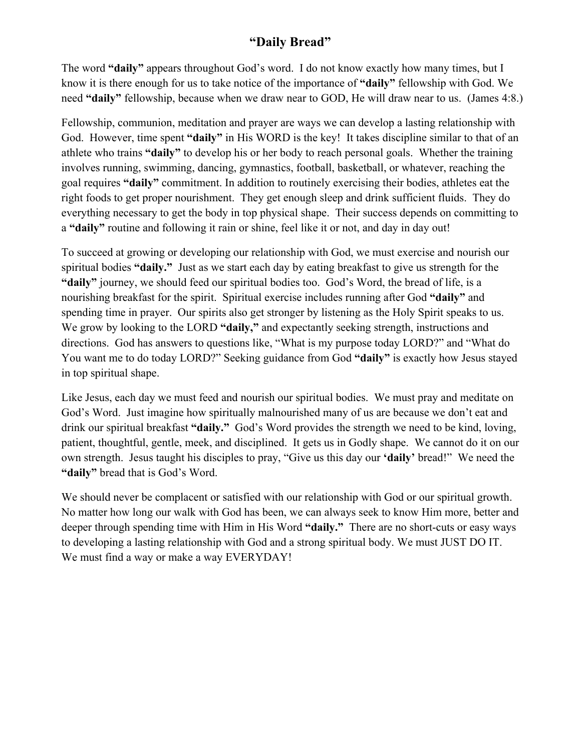#### **"Daily Bread"**

The word **"daily"** appears throughout God's word. I do not know exactly how many times, but I know it is there enough for us to take notice of the importance of **"daily"** fellowship with God. We need **"daily"** fellowship, because when we draw near to GOD, He will draw near to us. (James 4:8.)

Fellowship, communion, meditation and prayer are ways we can develop a lasting relationship with God. However, time spent **"daily"** in His WORD is the key! It takes discipline similar to that of an athlete who trains **"daily"** to develop his or her body to reach personal goals. Whether the training involves running, swimming, dancing, gymnastics, football, basketball, or whatever, reaching the goal requires **"daily"** commitment. In addition to routinely exercising their bodies, athletes eat the right foods to get proper nourishment. They get enough sleep and drink sufficient fluids. They do everything necessary to get the body in top physical shape. Their success depends on committing to a **"daily"** routine and following it rain or shine, feel like it or not, and day in day out!

To succeed at growing or developing our relationship with God, we must exercise and nourish our spiritual bodies **"daily."** Just as we start each day by eating breakfast to give us strength for the **"daily"** journey, we should feed our spiritual bodies too. God's Word, the bread of life, is a nourishing breakfast for the spirit. Spiritual exercise includes running after God **"daily"** and spending time in prayer. Our spirits also get stronger by listening as the Holy Spirit speaks to us. We grow by looking to the LORD **"daily,"** and expectantly seeking strength, instructions and directions. God has answers to questions like, "What is my purpose today LORD?" and "What do You want me to do today LORD?" Seeking guidance from God **"daily"** is exactly how Jesus stayed in top spiritual shape.

Like Jesus, each day we must feed and nourish our spiritual bodies. We must pray and meditate on God's Word. Just imagine how spiritually malnourished many of us are because we don't eat and drink our spiritual breakfast **"daily."** God's Word provides the strength we need to be kind, loving, patient, thoughtful, gentle, meek, and disciplined. It gets us in Godly shape. We cannot do it on our own strength. Jesus taught his disciples to pray, "Give us this day our **'daily'** bread!" We need the **"daily"** bread that is God's Word.

We should never be complacent or satisfied with our relationship with God or our spiritual growth. No matter how long our walk with God has been, we can always seek to know Him more, better and deeper through spending time with Him in His Word **"daily."** There are no short-cuts or easy ways to developing a lasting relationship with God and a strong spiritual body. We must JUST DO IT. We must find a way or make a way EVERYDAY!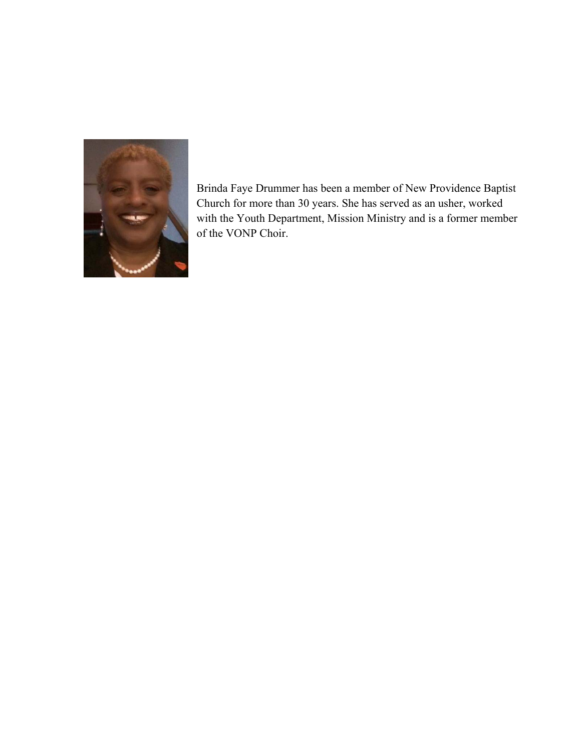

Brinda Faye Drummer has been a member of New Providence Baptist Church for more than 30 years. She has served as an usher, worked with the Youth Department, Mission Ministry and is a former member of the VONP Choir.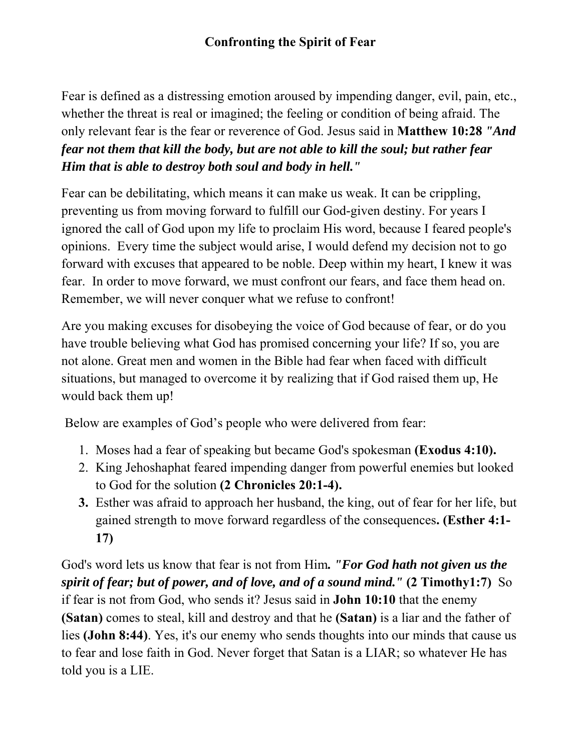## **Confronting the Spirit of Fear**

Fear is defined as a distressing emotion aroused by impending danger, evil, pain, etc., whether the threat is real or imagined; the feeling or condition of being afraid. The only relevant fear is the fear or reverence of God. Jesus said in **Matthew 10:28** *"And fear not them that kill the body, but are not able to kill the soul; but rather fear Him that is able to destroy both soul and body in hell."* 

Fear can be debilitating, which means it can make us weak. It can be crippling, preventing us from moving forward to fulfill our God-given destiny. For years I ignored the call of God upon my life to proclaim His word, because I feared people's opinions. Every time the subject would arise, I would defend my decision not to go forward with excuses that appeared to be noble. Deep within my heart, I knew it was fear. In order to move forward, we must confront our fears, and face them head on. Remember, we will never conquer what we refuse to confront!

Are you making excuses for disobeying the voice of God because of fear, or do you have trouble believing what God has promised concerning your life? If so, you are not alone. Great men and women in the Bible had fear when faced with difficult situations, but managed to overcome it by realizing that if God raised them up, He would back them up!

Below are examples of God's people who were delivered from fear:

- 1. Moses had a fear of speaking but became God's spokesman **(Exodus 4:10).**
- 2. King Jehoshaphat feared impending danger from powerful enemies but looked to God for the solution **(2 Chronicles 20:1-4).**
- **3.** Esther was afraid to approach her husband, the king, out of fear for her life, but gained strength to move forward regardless of the consequences**. (Esther 4:1- 17)**

God's word lets us know that fear is not from Him*. "For God hath not given us the spirit of fear; but of power, and of love, and of a sound mind."* **(2 Timothy1:7)** So if fear is not from God, who sends it? Jesus said in **John 10:10** that the enemy **(Satan)** comes to steal, kill and destroy and that he **(Satan)** is a liar and the father of lies **(John 8:44)**. Yes, it's our enemy who sends thoughts into our minds that cause us to fear and lose faith in God. Never forget that Satan is a LIAR; so whatever He has told you is a LIE.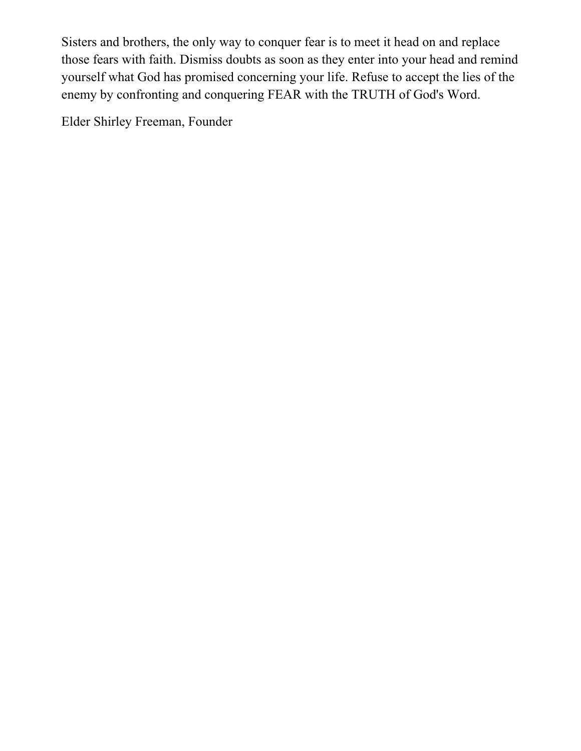Sisters and brothers, the only way to conquer fear is to meet it head on and replace those fears with faith. Dismiss doubts as soon as they enter into your head and remind yourself what God has promised concerning your life. Refuse to accept the lies of the enemy by confronting and conquering FEAR with the TRUTH of God's Word.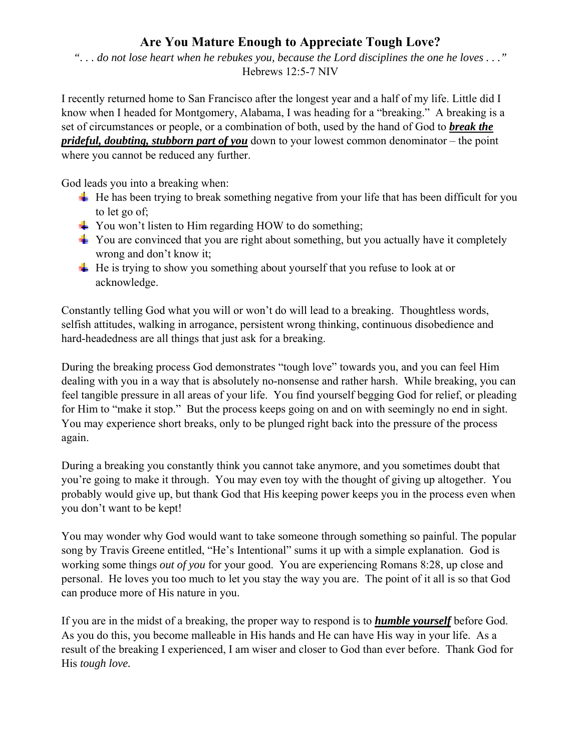#### **Are You Mature Enough to Appreciate Tough Love?**

*". . . do not lose heart when he rebukes you, because the Lord disciplines the one he loves . . ."* Hebrews 12:5-7 NIV

I recently returned home to San Francisco after the longest year and a half of my life. Little did I know when I headed for Montgomery, Alabama, I was heading for a "breaking." A breaking is a set of circumstances or people, or a combination of both, used by the hand of God to *break the prideful, doubting, stubborn part of you* down to your lowest common denominator – the point where you cannot be reduced any further.

God leads you into a breaking when:

- $\overline{\textbf{H}}$  He has been trying to break something negative from your life that has been difficult for you to let go of;
- $\overline{\text{4}}$  You won't listen to Him regarding HOW to do something;
- $\frac{1}{\sqrt{2}}$  You are convinced that you are right about something, but you actually have it completely wrong and don't know it;
- $\frac{1}{\sqrt{2}}$  He is trying to show you something about yourself that you refuse to look at or acknowledge.

Constantly telling God what you will or won't do will lead to a breaking. Thoughtless words, selfish attitudes, walking in arrogance, persistent wrong thinking, continuous disobedience and hard-headedness are all things that just ask for a breaking.

During the breaking process God demonstrates "tough love" towards you, and you can feel Him dealing with you in a way that is absolutely no-nonsense and rather harsh. While breaking, you can feel tangible pressure in all areas of your life. You find yourself begging God for relief, or pleading for Him to "make it stop." But the process keeps going on and on with seemingly no end in sight. You may experience short breaks, only to be plunged right back into the pressure of the process again.

During a breaking you constantly think you cannot take anymore, and you sometimes doubt that you're going to make it through. You may even toy with the thought of giving up altogether. You probably would give up, but thank God that His keeping power keeps you in the process even when you don't want to be kept!

You may wonder why God would want to take someone through something so painful. The popular song by Travis Greene entitled, "He's Intentional" sums it up with a simple explanation. God is working some things *out of you* for your good. You are experiencing Romans 8:28, up close and personal. He loves you too much to let you stay the way you are. The point of it all is so that God can produce more of His nature in you.

If you are in the midst of a breaking, the proper way to respond is to *humble yourself* before God. As you do this, you become malleable in His hands and He can have His way in your life. As a result of the breaking I experienced, I am wiser and closer to God than ever before. Thank God for His *tough love.*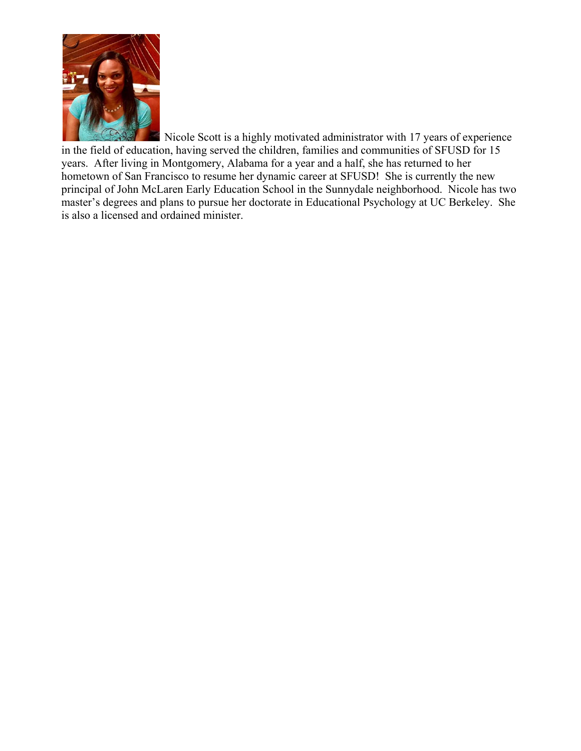

Nicole Scott is a highly motivated administrator with 17 years of experience in the field of education, having served the children, families and communities of SFUSD for 15 years. After living in Montgomery, Alabama for a year and a half, she has returned to her hometown of San Francisco to resume her dynamic career at SFUSD! She is currently the new principal of John McLaren Early Education School in the Sunnydale neighborhood. Nicole has two master's degrees and plans to pursue her doctorate in Educational Psychology at UC Berkeley. She is also a licensed and ordained minister.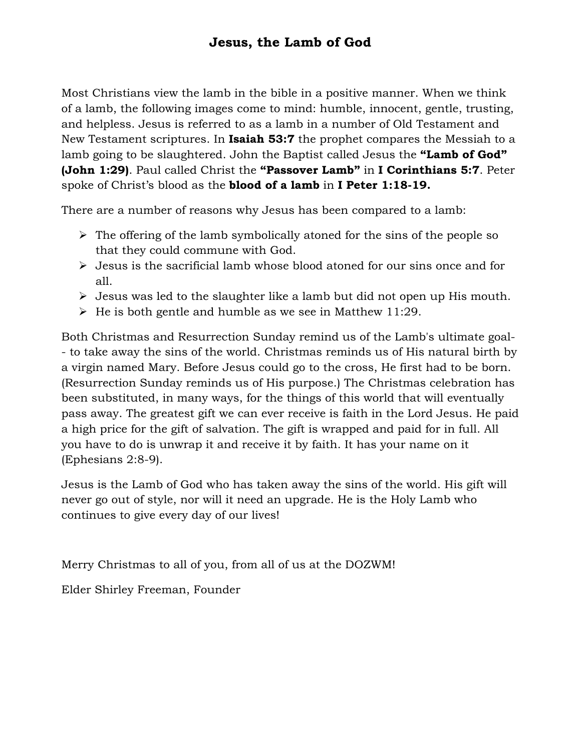### **Jesus, the Lamb of God**

Most Christians view the lamb in the bible in a positive manner. When we think of a lamb, the following images come to mind: humble, innocent, gentle, trusting, and helpless. Jesus is referred to as a lamb in a number of Old Testament and New Testament scriptures. In **Isaiah 53:7** the prophet compares the Messiah to a lamb going to be slaughtered. John the Baptist called Jesus the **"Lamb of God" (John 1:29)**. Paul called Christ the **"Passover Lamb"** in **I Corinthians 5:7**. Peter spoke of Christ's blood as the **blood of a lamb** in **I Peter 1:18-19.** 

There are a number of reasons why Jesus has been compared to a lamb:

- $\triangleright$  The offering of the lamb symbolically atoned for the sins of the people so that they could commune with God.
- $\triangleright$  Jesus is the sacrificial lamb whose blood atoned for our sins once and for all.
- $\triangleright$  Jesus was led to the slaughter like a lamb but did not open up His mouth.
- $\triangleright$  He is both gentle and humble as we see in Matthew 11:29.

Both Christmas and Resurrection Sunday remind us of the Lamb's ultimate goal- - to take away the sins of the world. Christmas reminds us of His natural birth by a virgin named Mary. Before Jesus could go to the cross, He first had to be born. (Resurrection Sunday reminds us of His purpose.) The Christmas celebration has been substituted, in many ways, for the things of this world that will eventually pass away. The greatest gift we can ever receive is faith in the Lord Jesus. He paid a high price for the gift of salvation. The gift is wrapped and paid for in full. All you have to do is unwrap it and receive it by faith. It has your name on it (Ephesians 2:8-9).

Jesus is the Lamb of God who has taken away the sins of the world. His gift will never go out of style, nor will it need an upgrade. He is the Holy Lamb who continues to give every day of our lives!

Merry Christmas to all of you, from all of us at the DOZWM!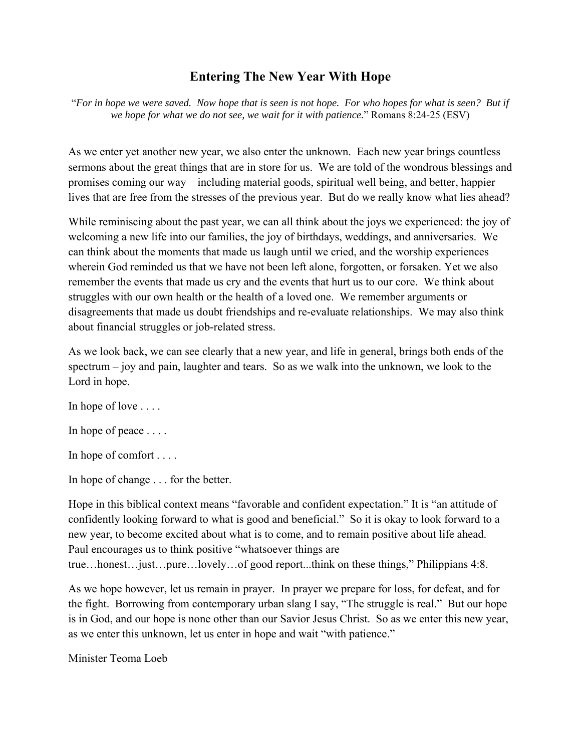#### **Entering The New Year With Hope**

"*For in hope we were saved. Now hope that is seen is not hope. For who hopes for what is seen? But if we hope for what we do not see, we wait for it with patience.*" Romans 8:24-25 (ESV)

As we enter yet another new year, we also enter the unknown. Each new year brings countless sermons about the great things that are in store for us. We are told of the wondrous blessings and promises coming our way – including material goods, spiritual well being, and better, happier lives that are free from the stresses of the previous year. But do we really know what lies ahead?

While reminiscing about the past year, we can all think about the joys we experienced: the joy of welcoming a new life into our families, the joy of birthdays, weddings, and anniversaries. We can think about the moments that made us laugh until we cried, and the worship experiences wherein God reminded us that we have not been left alone, forgotten, or forsaken. Yet we also remember the events that made us cry and the events that hurt us to our core. We think about struggles with our own health or the health of a loved one. We remember arguments or disagreements that made us doubt friendships and re-evaluate relationships. We may also think about financial struggles or job-related stress.

As we look back, we can see clearly that a new year, and life in general, brings both ends of the spectrum – joy and pain, laughter and tears. So as we walk into the unknown, we look to the Lord in hope.

In hope of love . . . .

In hope of peace . . . .

In hope of comfort . . . .

In hope of change . . . for the better.

Hope in this biblical context means "favorable and confident expectation." It is "an attitude of confidently looking forward to what is good and beneficial." So it is okay to look forward to a new year, to become excited about what is to come, and to remain positive about life ahead. Paul encourages us to think positive "whatsoever things are true…honest…just…pure…lovely…of good report...think on these things," Philippians 4:8.

As we hope however, let us remain in prayer. In prayer we prepare for loss, for defeat, and for the fight. Borrowing from contemporary urban slang I say, "The struggle is real." But our hope is in God, and our hope is none other than our Savior Jesus Christ. So as we enter this new year, as we enter this unknown, let us enter in hope and wait "with patience."

Minister Teoma Loeb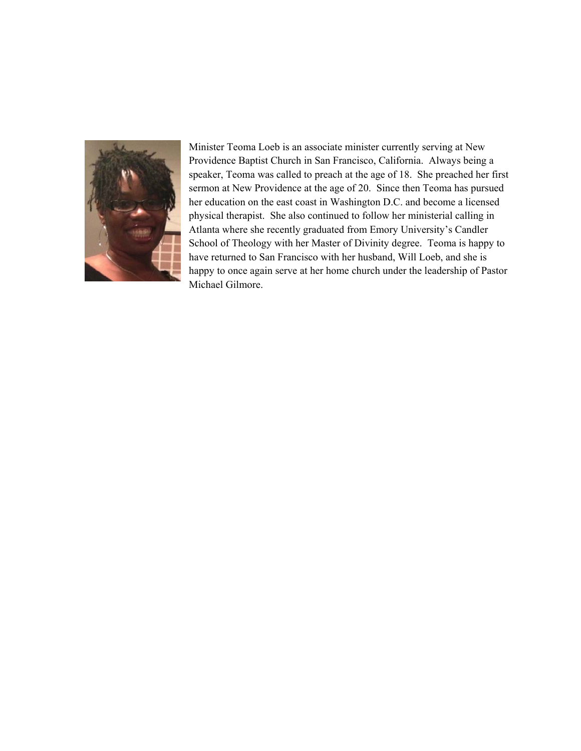

Minister Teoma Loeb is an associate minister currently serving at New Providence Baptist Church in San Francisco, California. Always being a speaker, Teoma was called to preach at the age of 18. She preached her first sermon at New Providence at the age of 20. Since then Teoma has pursued her education on the east coast in Washington D.C. and become a licensed physical therapist. She also continued to follow her ministerial calling in Atlanta where she recently graduated from Emory University's Candler School of Theology with her Master of Divinity degree. Teoma is happy to have returned to San Francisco with her husband, Will Loeb, and she is happy to once again serve at her home church under the leadership of Pastor Michael Gilmore.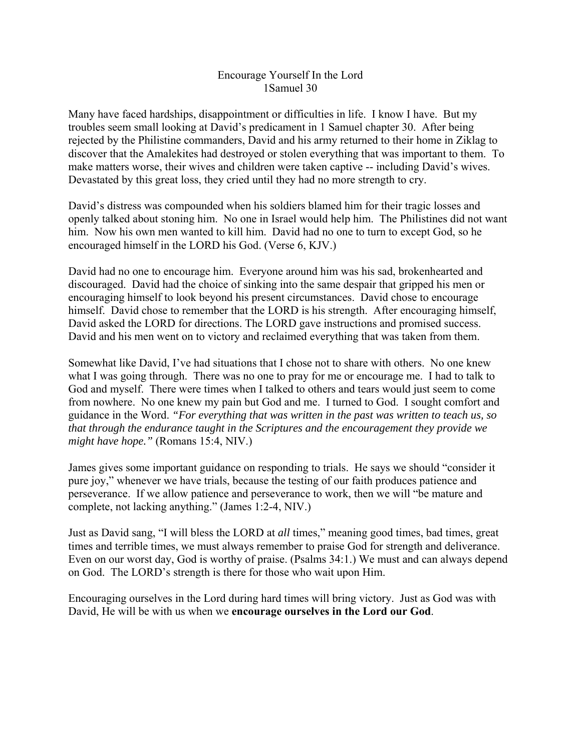#### Encourage Yourself In the Lord 1Samuel 30

Many have faced hardships, disappointment or difficulties in life. I know I have. But my troubles seem small looking at David's predicament in 1 Samuel chapter 30. After being rejected by the Philistine commanders, David and his army returned to their home in Ziklag to discover that the Amalekites had destroyed or stolen everything that was important to them. To make matters worse, their wives and children were taken captive -- including David's wives. Devastated by this great loss, they cried until they had no more strength to cry.

David's distress was compounded when his soldiers blamed him for their tragic losses and openly talked about stoning him. No one in Israel would help him. The Philistines did not want him. Now his own men wanted to kill him. David had no one to turn to except God, so he encouraged himself in the LORD his God. (Verse 6, KJV.)

David had no one to encourage him. Everyone around him was his sad, brokenhearted and discouraged. David had the choice of sinking into the same despair that gripped his men or encouraging himself to look beyond his present circumstances. David chose to encourage himself. David chose to remember that the LORD is his strength. After encouraging himself, David asked the LORD for directions. The LORD gave instructions and promised success. David and his men went on to victory and reclaimed everything that was taken from them.

Somewhat like David, I've had situations that I chose not to share with others. No one knew what I was going through. There was no one to pray for me or encourage me. I had to talk to God and myself. There were times when I talked to others and tears would just seem to come from nowhere. No one knew my pain but God and me. I turned to God. I sought comfort and guidance in the Word. *"For everything that was written in the past was written to teach us, so that through the endurance taught in the Scriptures and the encouragement they provide we might have hope."* (Romans 15:4, NIV.)

James gives some important guidance on responding to trials. He says we should "consider it pure joy," whenever we have trials, because the testing of our faith produces patience and perseverance. If we allow patience and perseverance to work, then we will "be mature and complete, not lacking anything." (James 1:2-4, NIV.)

Just as David sang, "I will bless the LORD at *all* times," meaning good times, bad times, great times and terrible times, we must always remember to praise God for strength and deliverance. Even on our worst day, God is worthy of praise. (Psalms 34:1.) We must and can always depend on God. The LORD's strength is there for those who wait upon Him.

Encouraging ourselves in the Lord during hard times will bring victory. Just as God was with David, He will be with us when we **encourage ourselves in the Lord our God**.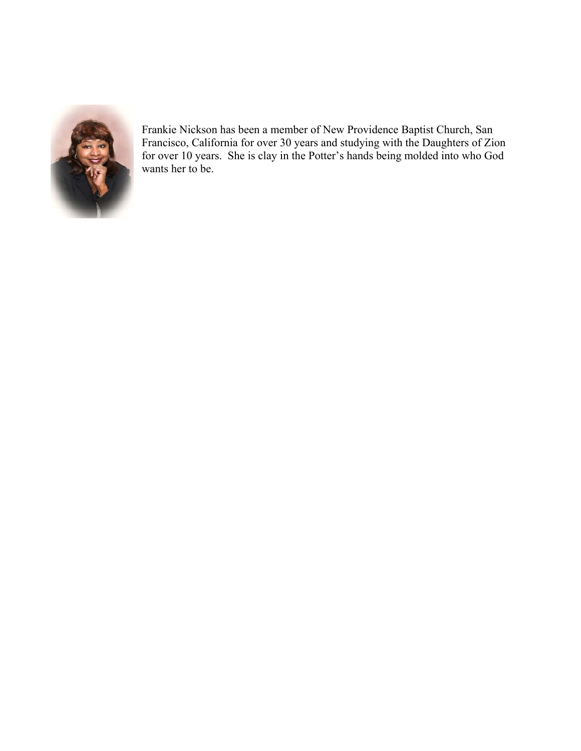

Frankie Nickson has been a member of New Providence Baptist Church, San Francisco, California for over 30 years and studying with the Daughters of Zion for over 10 years. She is clay in the Potter's hands being molded into who God wants her to be.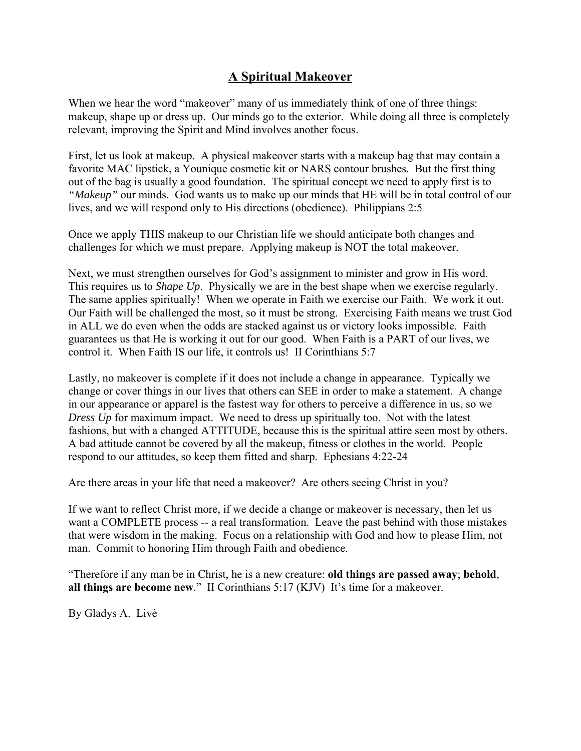#### **A Spiritual Makeover**

When we hear the word "makeover" many of us immediately think of one of three things: makeup, shape up or dress up. Our minds go to the exterior. While doing all three is completely relevant, improving the Spirit and Mind involves another focus.

First, let us look at makeup. A physical makeover starts with a makeup bag that may contain a favorite MAC lipstick, a Younique cosmetic kit or NARS contour brushes. But the first thing out of the bag is usually a good foundation. The spiritual concept we need to apply first is to *"Makeup"* our minds. God wants us to make up our minds that HE will be in total control of our lives, and we will respond only to His directions (obedience). Philippians 2:5

Once we apply THIS makeup to our Christian life we should anticipate both changes and challenges for which we must prepare. Applying makeup is NOT the total makeover.

Next, we must strengthen ourselves for God's assignment to minister and grow in His word. This requires us to *Shape Up*. Physically we are in the best shape when we exercise regularly. The same applies spiritually! When we operate in Faith we exercise our Faith. We work it out. Our Faith will be challenged the most, so it must be strong. Exercising Faith means we trust God in ALL we do even when the odds are stacked against us or victory looks impossible. Faith guarantees us that He is working it out for our good. When Faith is a PART of our lives, we control it. When Faith IS our life, it controls us! II Corinthians 5:7

Lastly, no makeover is complete if it does not include a change in appearance. Typically we change or cover things in our lives that others can SEE in order to make a statement. A change in our appearance or apparel is the fastest way for others to perceive a difference in us, so we *Dress Up* for maximum impact. We need to dress up spiritually too. Not with the latest fashions, but with a changed ATTITUDE, because this is the spiritual attire seen most by others. A bad attitude cannot be covered by all the makeup, fitness or clothes in the world. People respond to our attitudes, so keep them fitted and sharp. Ephesians 4:22-24

Are there areas in your life that need a makeover? Are others seeing Christ in you?

If we want to reflect Christ more, if we decide a change or makeover is necessary, then let us want a COMPLETE process -- a real transformation. Leave the past behind with those mistakes that were wisdom in the making. Focus on a relationship with God and how to please Him, not man. Commit to honoring Him through Faith and obedience.

"Therefore if any man be in Christ, he is a new creature: **old things are passed away**; **behold**, **all things are become new**." II Corinthians 5:17 (KJV) It's time for a makeover.

By Gladys A. Livè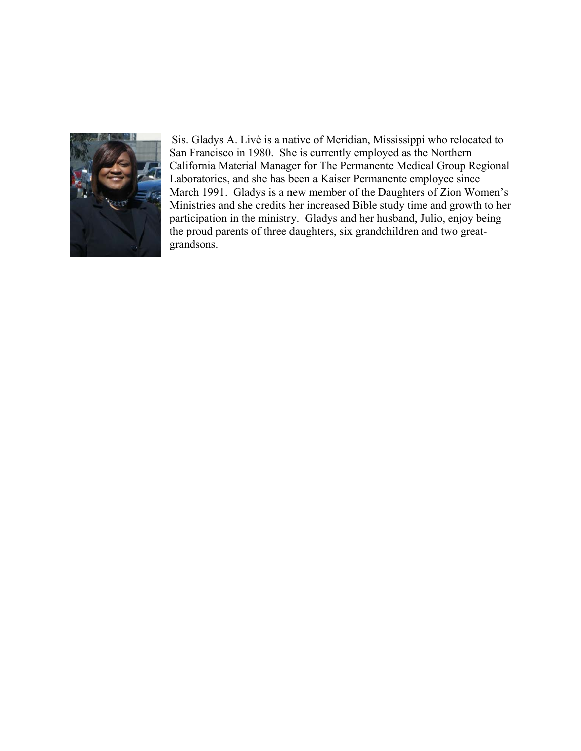

Sis. Gladys A. Livè is a native of Meridian, Mississippi who relocated to San Francisco in 1980. She is currently employed as the Northern California Material Manager for The Permanente Medical Group Regional Laboratories, and she has been a Kaiser Permanente employee since March 1991. Gladys is a new member of the Daughters of Zion Women's Ministries and she credits her increased Bible study time and growth to her participation in the ministry. Gladys and her husband, Julio, enjoy being the proud parents of three daughters, six grandchildren and two greatgrandsons.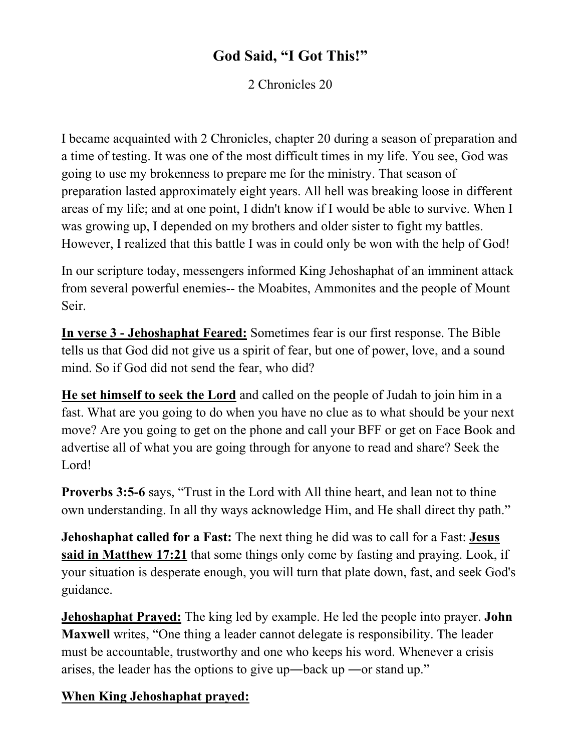## **God Said, "I Got This!"**

2 Chronicles 20

I became acquainted with 2 Chronicles, chapter 20 during a season of preparation and a time of testing. It was one of the most difficult times in my life. You see, God was going to use my brokenness to prepare me for the ministry. That season of preparation lasted approximately eight years. All hell was breaking loose in different areas of my life; and at one point, I didn't know if I would be able to survive. When I was growing up, I depended on my brothers and older sister to fight my battles. However, I realized that this battle I was in could only be won with the help of God!

In our scripture today, messengers informed King Jehoshaphat of an imminent attack from several powerful enemies-- the Moabites, Ammonites and the people of Mount Seir.

**In verse 3 - Jehoshaphat Feared:** Sometimes fear is our first response. The Bible tells us that God did not give us a spirit of fear, but one of power, love, and a sound mind. So if God did not send the fear, who did?

**He set himself to seek the Lord** and called on the people of Judah to join him in a fast. What are you going to do when you have no clue as to what should be your next move? Are you going to get on the phone and call your BFF or get on Face Book and advertise all of what you are going through for anyone to read and share? Seek the Lord!

**Proverbs 3:5-6** says*,* "Trust in the Lord with All thine heart, and lean not to thine own understanding. In all thy ways acknowledge Him, and He shall direct thy path."

**Jehoshaphat called for a Fast:** The next thing he did was to call for a Fast: **Jesus said in Matthew 17:21** that some things only come by fasting and praying. Look, if your situation is desperate enough, you will turn that plate down, fast, and seek God's guidance.

**Jehoshaphat Prayed:** The king led by example. He led the people into prayer. **John Maxwell** writes, "One thing a leader cannot delegate is responsibility. The leader must be accountable, trustworthy and one who keeps his word. Whenever a crisis arises, the leader has the options to give up―back up ―or stand up."

## **When King Jehoshaphat prayed:**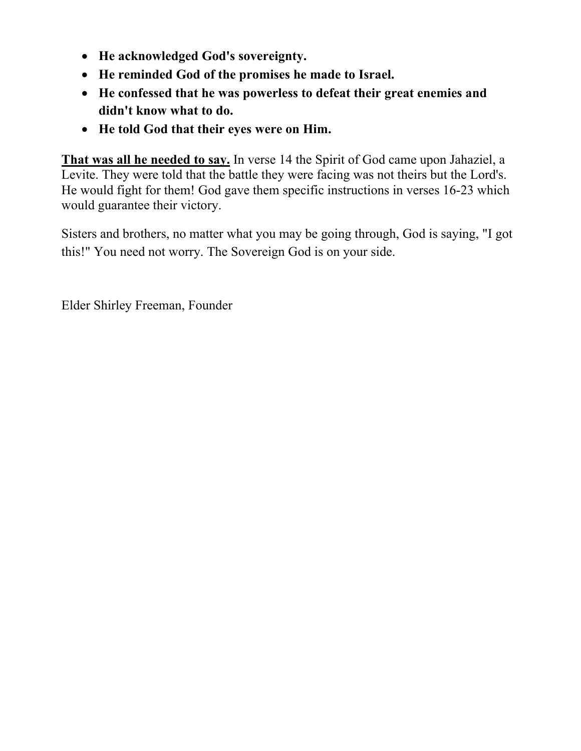- **He acknowledged God's sovereignty.**
- **He reminded God of the promises he made to Israel.**
- **He confessed that he was powerless to defeat their great enemies and didn't know what to do.**
- **He told God that their eyes were on Him.**

**That was all he needed to say.** In verse 14 the Spirit of God came upon Jahaziel, a Levite. They were told that the battle they were facing was not theirs but the Lord's. He would fight for them! God gave them specific instructions in verses 16-23 which would guarantee their victory.

Sisters and brothers, no matter what you may be going through, God is saying, "I got this!" You need not worry. The Sovereign God is on your side.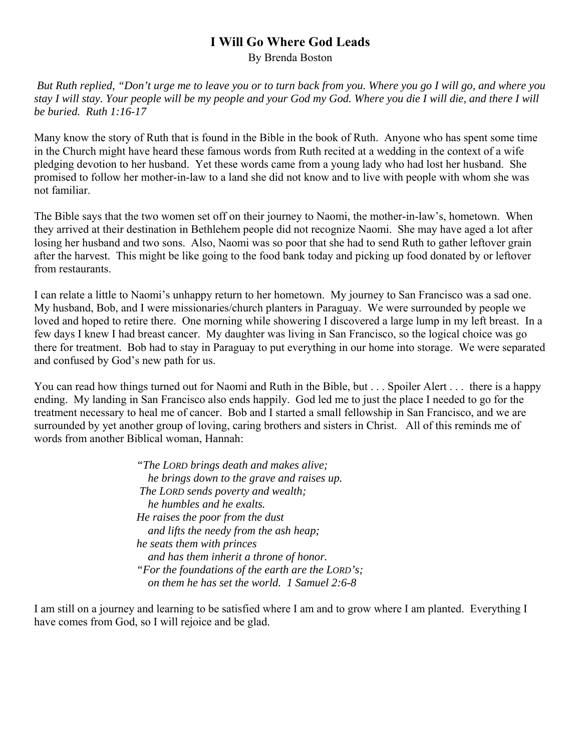#### **I Will Go Where God Leads**

By Brenda Boston

*But Ruth replied, "Don't urge me to leave you or to turn back from you. Where you go I will go, and where you stay I will stay. Your people will be my people and your God my God. Where you die I will die, and there I will be buried. Ruth 1:16-17* 

Many know the story of Ruth that is found in the Bible in the book of Ruth. Anyone who has spent some time in the Church might have heard these famous words from Ruth recited at a wedding in the context of a wife pledging devotion to her husband. Yet these words came from a young lady who had lost her husband. She promised to follow her mother-in-law to a land she did not know and to live with people with whom she was not familiar.

The Bible says that the two women set off on their journey to Naomi, the mother-in-law's, hometown. When they arrived at their destination in Bethlehem people did not recognize Naomi. She may have aged a lot after losing her husband and two sons. Also, Naomi was so poor that she had to send Ruth to gather leftover grain after the harvest. This might be like going to the food bank today and picking up food donated by or leftover from restaurants.

I can relate a little to Naomi's unhappy return to her hometown. My journey to San Francisco was a sad one. My husband, Bob, and I were missionaries/church planters in Paraguay. We were surrounded by people we loved and hoped to retire there. One morning while showering I discovered a large lump in my left breast. In a few days I knew I had breast cancer. My daughter was living in San Francisco, so the logical choice was go there for treatment. Bob had to stay in Paraguay to put everything in our home into storage. We were separated and confused by God's new path for us.

You can read how things turned out for Naomi and Ruth in the Bible, but . . . Spoiler Alert . . . there is a happy ending. My landing in San Francisco also ends happily. God led me to just the place I needed to go for the treatment necessary to heal me of cancer. Bob and I started a small fellowship in San Francisco, and we are surrounded by yet another group of loving, caring brothers and sisters in Christ. All of this reminds me of words from another Biblical woman, Hannah:

> *"The LORD brings death and makes alive; he brings down to the grave and raises up. The LORD sends poverty and wealth; he humbles and he exalts. He raises the poor from the dust and lifts the needy from the ash heap; he seats them with princes and has them inherit a throne of honor. "For the foundations of the earth are the LORD's; on them he has set the world. 1 Samuel 2:6-8*

I am still on a journey and learning to be satisfied where I am and to grow where I am planted. Everything I have comes from God, so I will rejoice and be glad.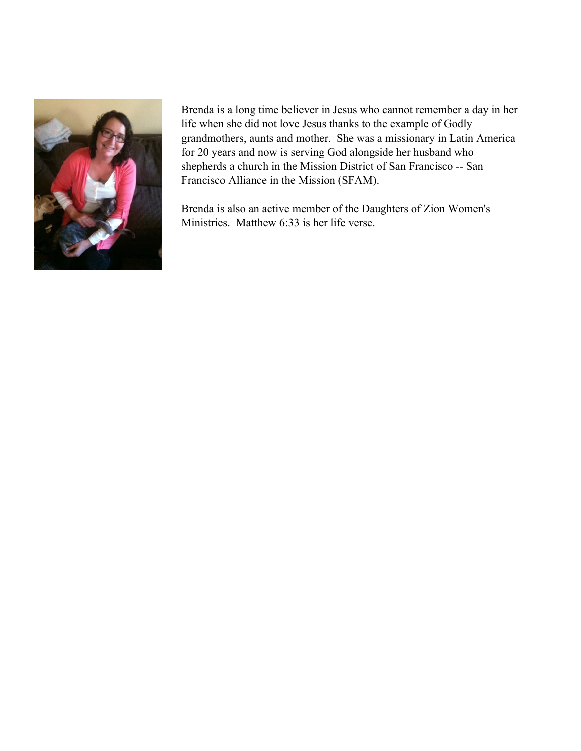

Brenda is a long time believer in Jesus who cannot remember a day in her life when she did not love Jesus thanks to the example of Godly grandmothers, aunts and mother. She was a missionary in Latin America for 20 years and now is serving God alongside her husband who shepherds a church in the Mission District of San Francisco -- San Francisco Alliance in the Mission (SFAM).

Brenda is also an active member of the Daughters of Zion Women's Ministries. Matthew 6:33 is her life verse.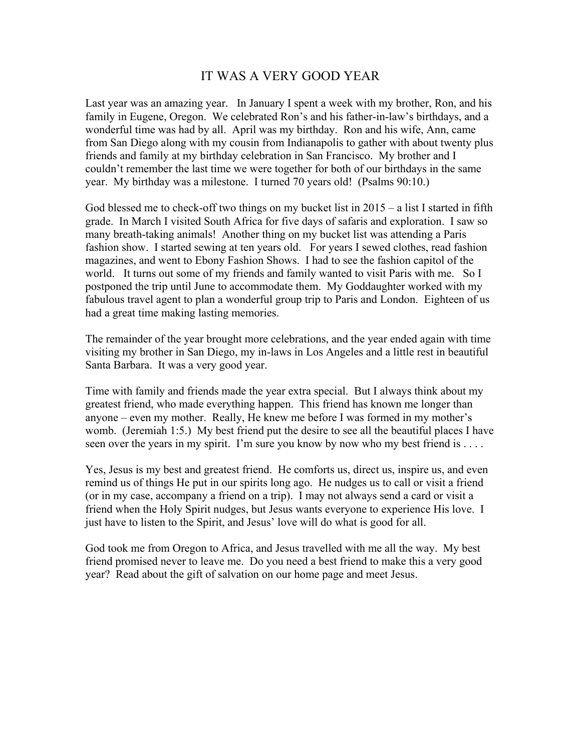#### IT WAS A VERY GOOD YEAR

Last year was an amazing year. In January I spent a week with my brother, Ron, and his family in Eugene, Oregon. We celebrated Ron's and his father-in-law's birthdays, and a wonderful time was had by all. April was my birthday. Ron and his wife, Ann, came from San Diego along with my cousin from Indianapolis to gather with about twenty plus friends and family at my birthday celebration in San Francisco. My brother and I couldn't remember the last time we were together for both of our birthdays in the same year. My birthday was a milestone. I turned 70 years old! (Psalms 90:10.)

God blessed me to check-off two things on my bucket list in  $2015 - a$  list I started in fifth grade. In March I visited South Africa for five days of safaris and exploration. I saw so many breath-taking animals! Another thing on my bucket list was attending a Paris fashion show. I started sewing at ten years old. For years I sewed clothes, read fashion magazines, and went to Ebony Fashion Shows. I had to see the fashion capitol of the world. It turns out some of my friends and family wanted to visit Paris with me. So I postponed the trip until June to accommodate them. My Goddaughter worked with my fabulous travel agent to plan a wonderful group trip to Paris and London. Eighteen of us had a great time making lasting memories.

The remainder of the year brought more celebrations, and the year ended again with time visiting my brother in San Diego, my in-laws in Los Angeles and a little rest in beautiful Santa Barbara. It was a very good year.

Time with family and friends made the year extra special. But I always think about my greatest friend, who made everything happen. This friend has known me longer than anyone – even my mother. Really, He knew me before I was formed in my mother's womb. (Jeremiah 1:5.) My best friend put the desire to see all the beautiful places I have seen over the years in my spirit. I'm sure you know by now who my best friend is ....

Yes, Jesus is my best and greatest friend. He comforts us, direct us, inspire us, and even remind us of things He put in our spirits long ago. He nudges us to call or visit a friend (or in my case, accompany a friend on a trip). I may not always send a card or visit a friend when the Holy Spirit nudges, but Jesus wants everyone to experience His love. I just have to listen to the Spirit, and Jesus' love will do what is good for all.

God took me from Oregon to Africa, and Jesus travelled with me all the way. My best friend promised never to leave me. Do you need a best friend to make this a very good year? Read about the gift of salvation on our home page and meet Jesus.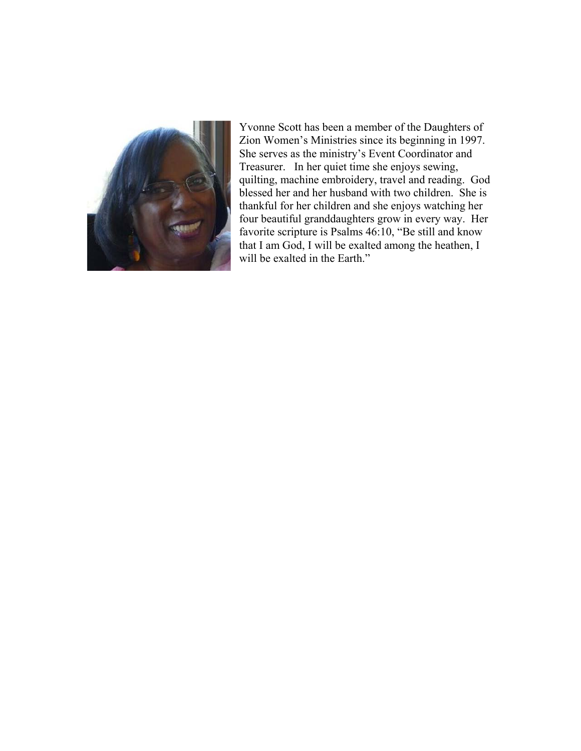

Yvonne Scott has been a member of the Daughters of Zion Women's Ministries since its beginning in 1997. She serves as the ministry's Event Coordinator and Treasurer. In her quiet time she enjoys sewing, quilting, machine embroidery, travel and reading. God blessed her and her husband with two children. She is thankful for her children and she enjoys watching her four beautiful granddaughters grow in every way. Her favorite scripture is Psalms 46:10, "Be still and know that I am God, I will be exalted among the heathen, I will be exalted in the Earth."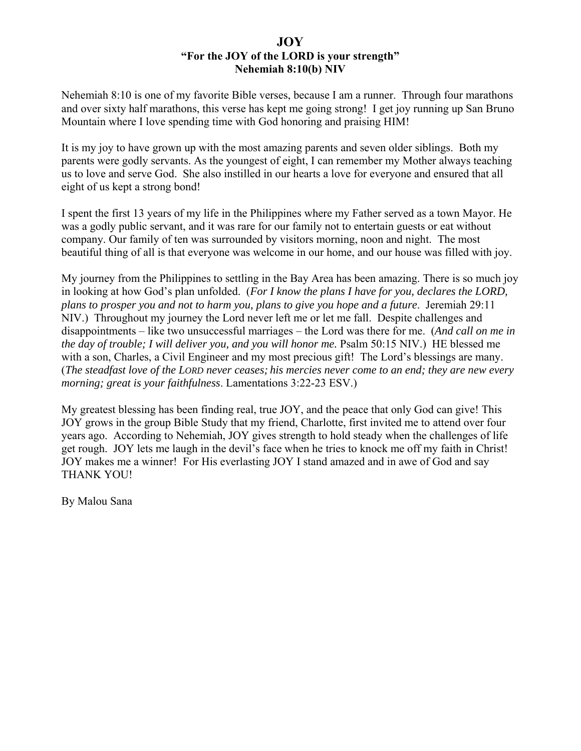#### **JOY "For the JOY of the LORD is your strength" Nehemiah 8:10(b) NIV**

Nehemiah 8:10 is one of my favorite Bible verses, because I am a runner. Through four marathons and over sixty half marathons, this verse has kept me going strong! I get joy running up San Bruno Mountain where I love spending time with God honoring and praising HIM!

It is my joy to have grown up with the most amazing parents and seven older siblings. Both my parents were godly servants. As the youngest of eight, I can remember my Mother always teaching us to love and serve God. She also instilled in our hearts a love for everyone and ensured that all eight of us kept a strong bond!

I spent the first 13 years of my life in the Philippines where my Father served as a town Mayor. He was a godly public servant, and it was rare for our family not to entertain guests or eat without company. Our family of ten was surrounded by visitors morning, noon and night. The most beautiful thing of all is that everyone was welcome in our home, and our house was filled with joy.

My journey from the Philippines to settling in the Bay Area has been amazing. There is so much joy in looking at how God's plan unfolded. (*For I know the plans I have for you, declares the LORD, plans to prosper you and not to harm you, plans to give you hope and a future*. Jeremiah 29:11 NIV.) Throughout my journey the Lord never left me or let me fall. Despite challenges and disappointments – like two unsuccessful marriages – the Lord was there for me. (*And call on me in the day of trouble; I will deliver you, and you will honor me.* Psalm 50:15 NIV.) HE blessed me with a son, Charles, a Civil Engineer and my most precious gift! The Lord's blessings are many. (*The steadfast love of the LORD never ceases; his mercies never come to an end; they are new every morning; great is your faithfulness*. Lamentations 3:22-23 ESV.)

My greatest blessing has been finding real, true JOY, and the peace that only God can give! This JOY grows in the group Bible Study that my friend, Charlotte, first invited me to attend over four years ago. According to Nehemiah, JOY gives strength to hold steady when the challenges of life get rough. JOY lets me laugh in the devil's face when he tries to knock me off my faith in Christ! JOY makes me a winner! For His everlasting JOY I stand amazed and in awe of God and say THANK YOU!

By Malou Sana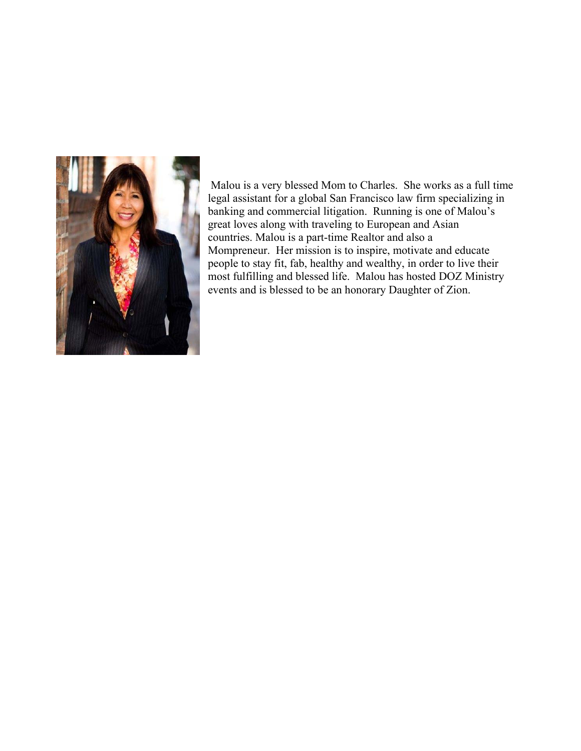

Malou is a very blessed Mom to Charles. She works as a full time legal assistant for a global San Francisco law firm specializing in banking and commercial litigation. Running is one of Malou's great loves along with traveling to European and Asian countries. Malou is a part-time Realtor and also a Mompreneur. Her mission is to inspire, motivate and educate people to stay fit, fab, healthy and wealthy, in order to live their most fulfilling and blessed life. Malou has hosted DOZ Ministry events and is blessed to be an honorary Daughter of Zion.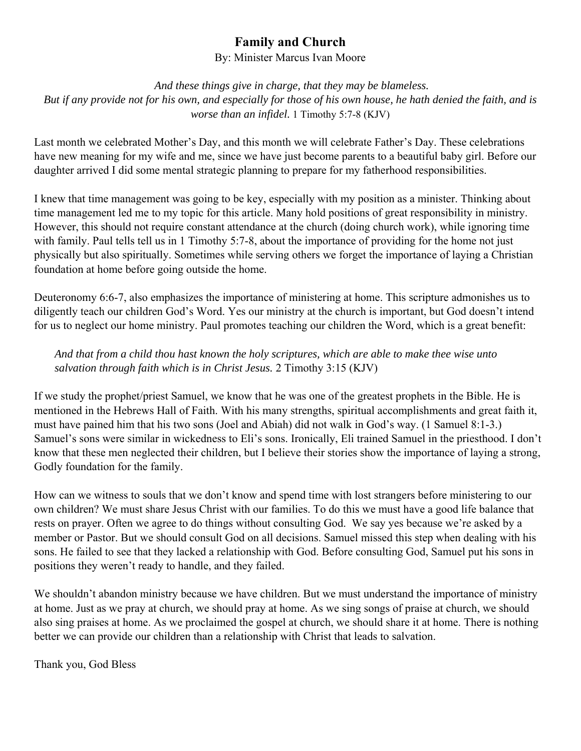## **Family and Church**

By: Minister Marcus Ivan Moore

 *And these things give in charge, that they may be blameless. But if any provide not for his own, and especially for those of his own house, he hath denied the faith, and is worse than an infidel.* 1 Timothy 5:7-8 (KJV)

Last month we celebrated Mother's Day, and this month we will celebrate Father's Day. These celebrations have new meaning for my wife and me, since we have just become parents to a beautiful baby girl. Before our daughter arrived I did some mental strategic planning to prepare for my fatherhood responsibilities.

I knew that time management was going to be key, especially with my position as a minister. Thinking about time management led me to my topic for this article. Many hold positions of great responsibility in ministry. However, this should not require constant attendance at the church (doing church work), while ignoring time with family. Paul tells tell us in 1 Timothy 5:7-8, about the importance of providing for the home not just physically but also spiritually. Sometimes while serving others we forget the importance of laying a Christian foundation at home before going outside the home.

Deuteronomy 6:6-7, also emphasizes the importance of ministering at home. This scripture admonishes us to diligently teach our children God's Word. Yes our ministry at the church is important, but God doesn't intend for us to neglect our home ministry. Paul promotes teaching our children the Word, which is a great benefit:

*And that from a child thou hast known the holy scriptures, which are able to make thee wise unto salvation through faith which is in Christ Jesus.* 2 Timothy 3:15 (KJV)

If we study the prophet/priest Samuel, we know that he was one of the greatest prophets in the Bible. He is mentioned in the Hebrews Hall of Faith. With his many strengths, spiritual accomplishments and great faith it, must have pained him that his two sons (Joel and Abiah) did not walk in God's way. (1 Samuel 8:1-3.) Samuel's sons were similar in wickedness to Eli's sons. Ironically, Eli trained Samuel in the priesthood. I don't know that these men neglected their children, but I believe their stories show the importance of laying a strong, Godly foundation for the family.

How can we witness to souls that we don't know and spend time with lost strangers before ministering to our own children? We must share Jesus Christ with our families. To do this we must have a good life balance that rests on prayer. Often we agree to do things without consulting God. We say yes because we're asked by a member or Pastor. But we should consult God on all decisions. Samuel missed this step when dealing with his sons. He failed to see that they lacked a relationship with God. Before consulting God, Samuel put his sons in positions they weren't ready to handle, and they failed.

We shouldn't abandon ministry because we have children. But we must understand the importance of ministry at home. Just as we pray at church, we should pray at home. As we sing songs of praise at church, we should also sing praises at home. As we proclaimed the gospel at church, we should share it at home. There is nothing better we can provide our children than a relationship with Christ that leads to salvation.

Thank you, God Bless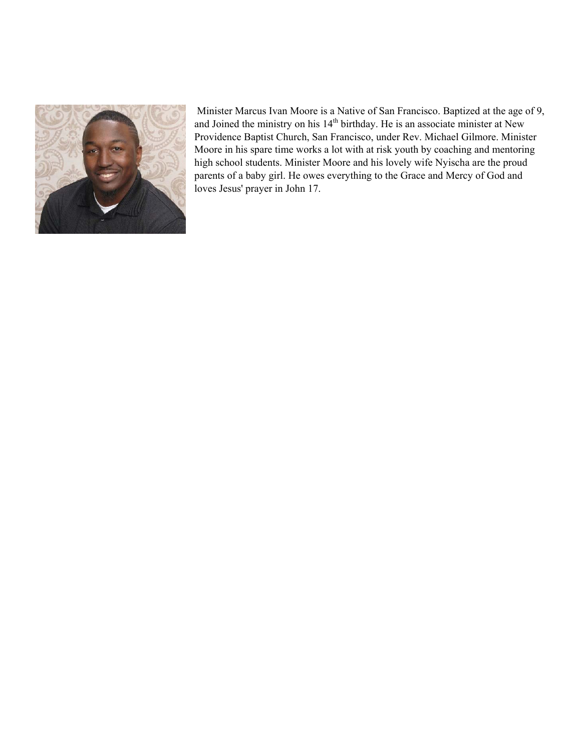

 Minister Marcus Ivan Moore is a Native of San Francisco. Baptized at the age of 9, and Joined the ministry on his  $14<sup>th</sup>$  birthday. He is an associate minister at New Providence Baptist Church, San Francisco, under Rev. Michael Gilmore. Minister Moore in his spare time works a lot with at risk youth by coaching and mentoring high school students. Minister Moore and his lovely wife Nyischa are the proud parents of a baby girl. He owes everything to the Grace and Mercy of God and loves Jesus' prayer in John 17.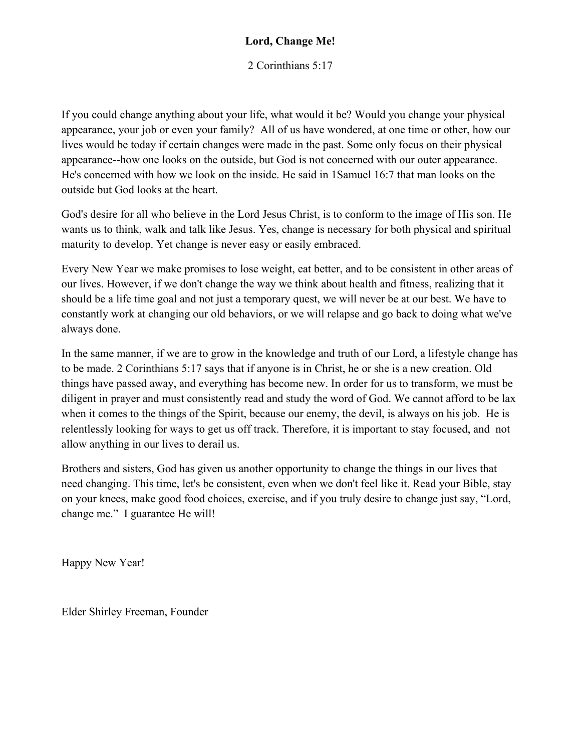#### **Lord, Change Me!**

2 Corinthians 5:17

If you could change anything about your life, what would it be? Would you change your physical appearance, your job or even your family? All of us have wondered, at one time or other, how our lives would be today if certain changes were made in the past. Some only focus on their physical appearance--how one looks on the outside, but God is not concerned with our outer appearance. He's concerned with how we look on the inside. He said in 1Samuel 16:7 that man looks on the outside but God looks at the heart.

God's desire for all who believe in the Lord Jesus Christ, is to conform to the image of His son. He wants us to think, walk and talk like Jesus. Yes, change is necessary for both physical and spiritual maturity to develop. Yet change is never easy or easily embraced.

Every New Year we make promises to lose weight, eat better, and to be consistent in other areas of our lives. However, if we don't change the way we think about health and fitness, realizing that it should be a life time goal and not just a temporary quest, we will never be at our best. We have to constantly work at changing our old behaviors, or we will relapse and go back to doing what we've always done.

In the same manner, if we are to grow in the knowledge and truth of our Lord, a lifestyle change has to be made. 2 Corinthians 5:17 says that if anyone is in Christ, he or she is a new creation. Old things have passed away, and everything has become new. In order for us to transform, we must be diligent in prayer and must consistently read and study the word of God. We cannot afford to be lax when it comes to the things of the Spirit, because our enemy, the devil, is always on his job. He is relentlessly looking for ways to get us off track. Therefore, it is important to stay focused, and not allow anything in our lives to derail us.

Brothers and sisters, God has given us another opportunity to change the things in our lives that need changing. This time, let's be consistent, even when we don't feel like it. Read your Bible, stay on your knees, make good food choices, exercise, and if you truly desire to change just say, "Lord, change me." I guarantee He will!

Happy New Year!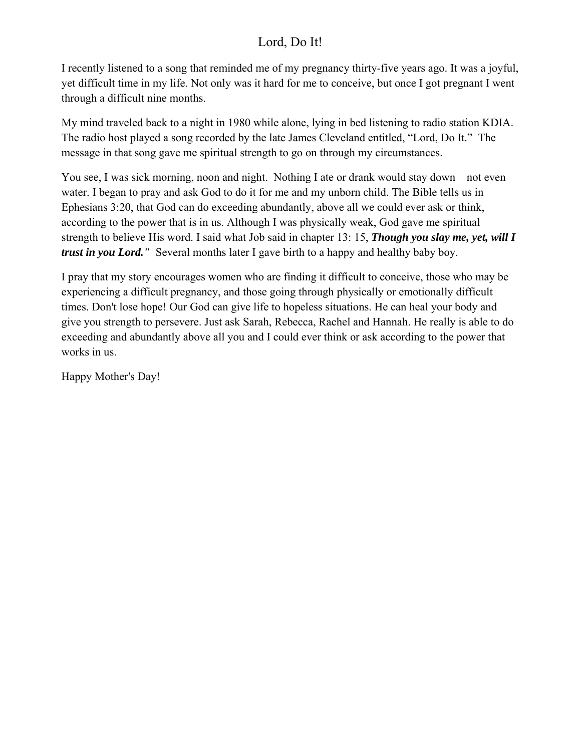#### Lord, Do It!

I recently listened to a song that reminded me of my pregnancy thirty-five years ago. It was a joyful, yet difficult time in my life. Not only was it hard for me to conceive, but once I got pregnant I went through a difficult nine months.

My mind traveled back to a night in 1980 while alone, lying in bed listening to radio station KDIA. The radio host played a song recorded by the late James Cleveland entitled, "Lord, Do It." The message in that song gave me spiritual strength to go on through my circumstances.

You see, I was sick morning, noon and night. Nothing I ate or drank would stay down – not even water. I began to pray and ask God to do it for me and my unborn child. The Bible tells us in Ephesians 3:20, that God can do exceeding abundantly, above all we could ever ask or think, according to the power that is in us. Although I was physically weak, God gave me spiritual strength to believe His word. I said what Job said in chapter 13: 15, *Though you slay me, yet, will I trust in you Lord.*" Several months later I gave birth to a happy and healthy baby boy.

I pray that my story encourages women who are finding it difficult to conceive, those who may be experiencing a difficult pregnancy, and those going through physically or emotionally difficult times. Don't lose hope! Our God can give life to hopeless situations. He can heal your body and give you strength to persevere. Just ask Sarah, Rebecca, Rachel and Hannah. He really is able to do exceeding and abundantly above all you and I could ever think or ask according to the power that works in us.

Happy Mother's Day!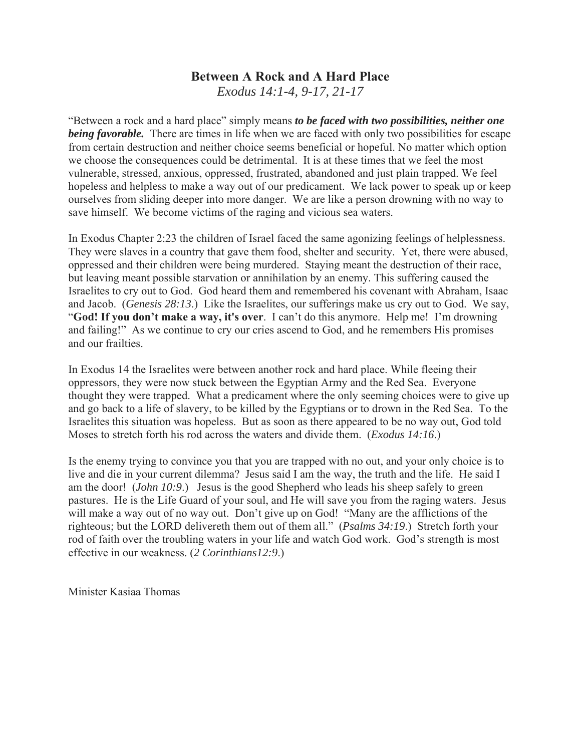#### **Between A Rock and A Hard Place**

*Exodus 14:1-4, 9-17, 21-17* 

"Between a rock and a hard place" simply means *to be faced with two possibilities, neither one being favorable.* There are times in life when we are faced with only two possibilities for escape from certain destruction and neither choice seems beneficial or hopeful. No matter which option we choose the consequences could be detrimental.It is at these times that we feel the most vulnerable, stressed, anxious, oppressed, frustrated, abandoned and just plain trapped. We feel hopeless and helpless to make a way out of our predicament. We lack power to speak up or keep ourselves from sliding deeper into more danger. We are like a person drowning with no way to save himself. We become victims of the raging and vicious sea waters.

In Exodus Chapter 2:23 the children of Israel faced the same agonizing feelings of helplessness. They were slaves in a country that gave them food, shelter and security. Yet, there were abused, oppressed and their children were being murdered. Staying meant the destruction of their race, but leaving meant possible starvation or annihilation by an enemy. This suffering caused the Israelites to cry out to God. God heard them and remembered his covenant with Abraham, Isaac and Jacob. (*Genesis 28:13*.) Like the Israelites, our sufferings make us cry out to God. We say, "**God! If you don't make a way, it's over**. I can't do this anymore. Help me! I'm drowning and failing!" As we continue to cry our cries ascend to God, and he remembers His promises and our frailties.

In Exodus 14 the Israelites were between another rock and hard place. While fleeing their oppressors, they were now stuck between the Egyptian Army and the Red Sea. Everyone thought they were trapped. What a predicament where the only seeming choices were to give up and go back to a life of slavery, to be killed by the Egyptians or to drown in the Red Sea. To the Israelites this situation was hopeless. But as soon as there appeared to be no way out, God told Moses to stretch forth his rod across the waters and divide them. (*Exodus 14:16*.)

Is the enemy trying to convince you that you are trapped with no out, and your only choice is to live and die in your current dilemma? Jesus said I am the way, the truth and the life. He said I am the door! (*John 10:9*.) Jesus is the good Shepherd who leads his sheep safely to green pastures. He is the Life Guard of your soul, and He will save you from the raging waters. Jesus will make a way out of no way out. Don't give up on God! "Many are the afflictions of the righteous; but the LORD delivereth them out of them all." (*Psalms 34:19*.) Stretch forth your rod of faith over the troubling waters in your life and watch God work. God's strength is most effective in our weakness. (*2 Corinthians12:9*.)

Minister Kasiaa Thomas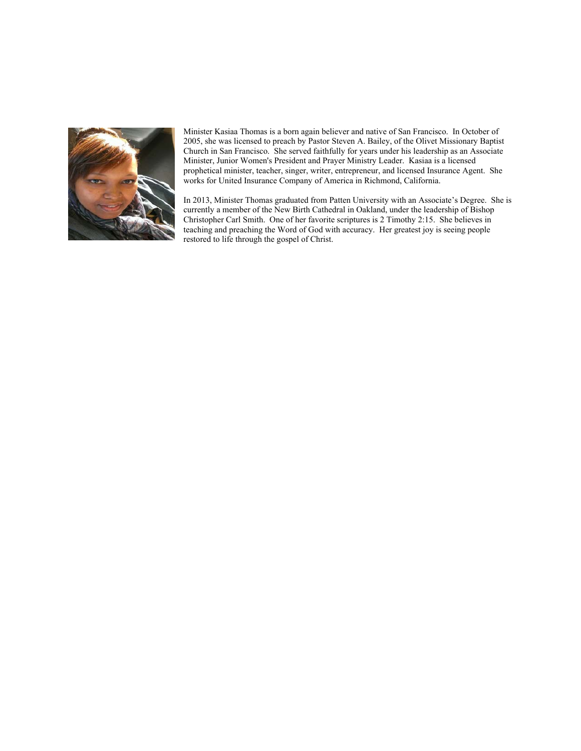

Minister Kasiaa Thomas is a born again believer and native of San Francisco. In October of 2005, she was licensed to preach by Pastor Steven A. Bailey, of the Olivet Missionary Baptist Church in San Francisco. She served faithfully for years under his leadership as an Associate Minister, Junior Women's President and Prayer Ministry Leader. Kasiaa is a licensed prophetical minister, teacher, singer, writer, entrepreneur, and licensed Insurance Agent. She works for United Insurance Company of America in Richmond, California.

In 2013, Minister Thomas graduated from Patten University with an Associate's Degree. She is currently a member of the New Birth Cathedral in Oakland, under the leadership of Bishop Christopher Carl Smith. One of her favorite scriptures is 2 Timothy 2:15. She believes in teaching and preaching the Word of God with accuracy. Her greatest joy is seeing people restored to life through the gospel of Christ.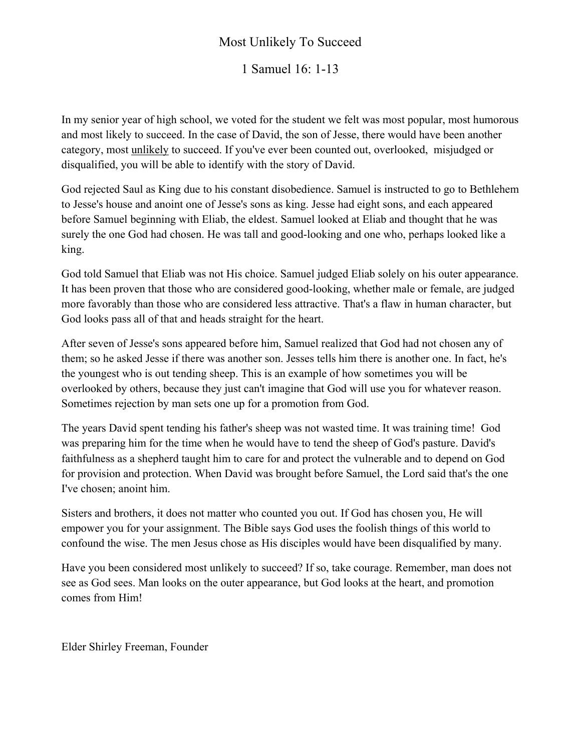#### Most Unlikely To Succeed

1 Samuel 16: 1-13

In my senior year of high school, we voted for the student we felt was most popular, most humorous and most likely to succeed. In the case of David, the son of Jesse, there would have been another category, most unlikely to succeed. If you've ever been counted out, overlooked, misjudged or disqualified, you will be able to identify with the story of David.

God rejected Saul as King due to his constant disobedience. Samuel is instructed to go to Bethlehem to Jesse's house and anoint one of Jesse's sons as king. Jesse had eight sons, and each appeared before Samuel beginning with Eliab, the eldest. Samuel looked at Eliab and thought that he was surely the one God had chosen. He was tall and good-looking and one who, perhaps looked like a king.

God told Samuel that Eliab was not His choice. Samuel judged Eliab solely on his outer appearance. It has been proven that those who are considered good-looking, whether male or female, are judged more favorably than those who are considered less attractive. That's a flaw in human character, but God looks pass all of that and heads straight for the heart.

After seven of Jesse's sons appeared before him, Samuel realized that God had not chosen any of them; so he asked Jesse if there was another son. Jesses tells him there is another one. In fact, he's the youngest who is out tending sheep. This is an example of how sometimes you will be overlooked by others, because they just can't imagine that God will use you for whatever reason. Sometimes rejection by man sets one up for a promotion from God.

The years David spent tending his father's sheep was not wasted time. It was training time! God was preparing him for the time when he would have to tend the sheep of God's pasture. David's faithfulness as a shepherd taught him to care for and protect the vulnerable and to depend on God for provision and protection. When David was brought before Samuel, the Lord said that's the one I've chosen; anoint him.

Sisters and brothers, it does not matter who counted you out. If God has chosen you, He will empower you for your assignment. The Bible says God uses the foolish things of this world to confound the wise. The men Jesus chose as His disciples would have been disqualified by many.

Have you been considered most unlikely to succeed? If so, take courage. Remember, man does not see as God sees. Man looks on the outer appearance, but God looks at the heart, and promotion comes from Him!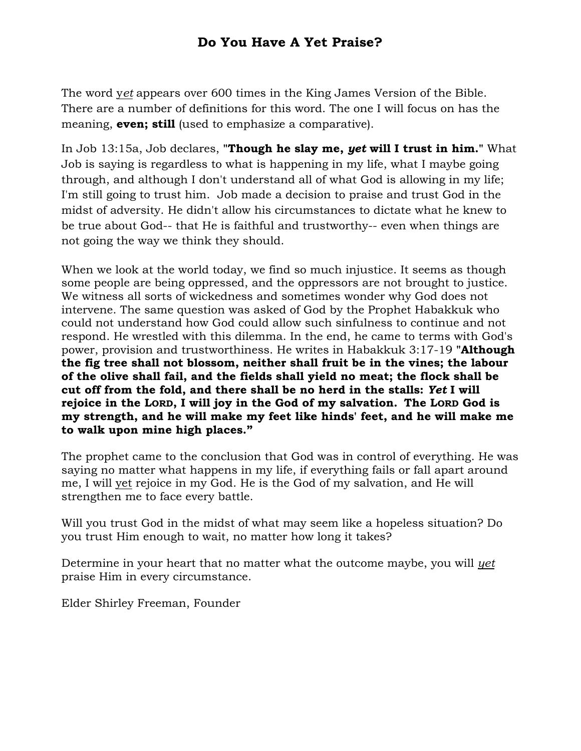#### **Do You Have A Yet Praise?**

The word y*et* appears over 600 times in the King James Version of the Bible. There are a number of definitions for this word. The one I will focus on has the meaning, **even; still** (used to emphasize a comparative).

In Job 13:15a, Job declares, **"Though he slay me,** *yet* **will I trust in him."** What Job is saying is regardless to what is happening in my life, what I maybe going through, and although I don't understand all of what God is allowing in my life; I'm still going to trust him. Job made a decision to praise and trust God in the midst of adversity. He didn't allow his circumstances to dictate what he knew to be true about God-- that He is faithful and trustworthy-- even when things are not going the way we think they should.

When we look at the world today, we find so much injustice. It seems as though some people are being oppressed, and the oppressors are not brought to justice. We witness all sorts of wickedness and sometimes wonder why God does not intervene. The same question was asked of God by the Prophet Habakkuk who could not understand how God could allow such sinfulness to continue and not respond. He wrestled with this dilemma. In the end, he came to terms with God's power, provision and trustworthiness. He writes in Habakkuk 3:17-19 **"Although the fig tree shall not blossom, neither shall fruit be in the vines; the labour of the olive shall fail, and the fields shall yield no meat; the flock shall be cut off from the fold, and there shall be no herd in the stalls:** *Yet* **I will rejoice in the LORD, I will joy in the God of my salvation. The LORD God is my strength, and he will make my feet like hinds' feet, and he will make me to walk upon mine high places."** 

The prophet came to the conclusion that God was in control of everything. He was saying no matter what happens in my life, if everything fails or fall apart around me, I will yet rejoice in my God. He is the God of my salvation, and He will strengthen me to face every battle.

Will you trust God in the midst of what may seem like a hopeless situation? Do you trust Him enough to wait, no matter how long it takes?

Determine in your heart that no matter what the outcome maybe, you will *yet* praise Him in every circumstance.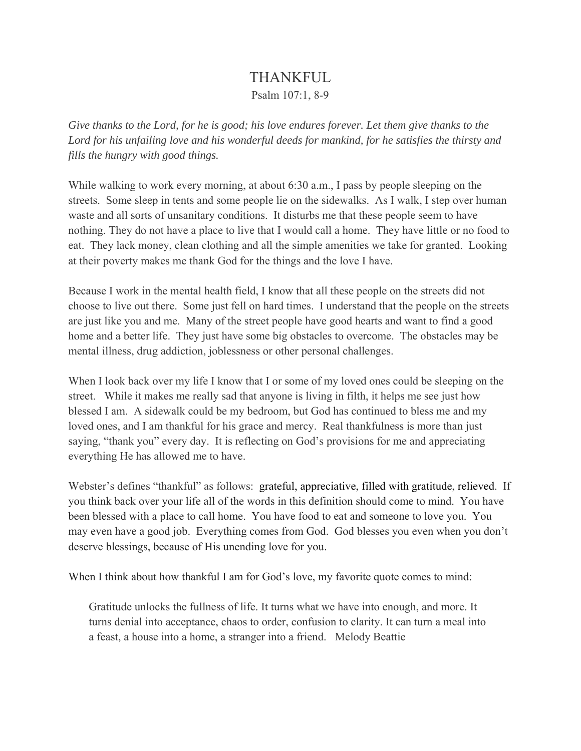## THANKFUL

#### Psalm 107:1, 8-9

*Give thanks to the Lord, for he is good; his love endures forever. Let them give thanks to the Lord for his unfailing love and his wonderful deeds for mankind, for he satisfies the thirsty and fills the hungry with good things.* 

While walking to work every morning, at about 6:30 a.m., I pass by people sleeping on the streets. Some sleep in tents and some people lie on the sidewalks. As I walk, I step over human waste and all sorts of unsanitary conditions. It disturbs me that these people seem to have nothing. They do not have a place to live that I would call a home. They have little or no food to eat. They lack money, clean clothing and all the simple amenities we take for granted. Looking at their poverty makes me thank God for the things and the love I have.

Because I work in the mental health field, I know that all these people on the streets did not choose to live out there. Some just fell on hard times. I understand that the people on the streets are just like you and me. Many of the street people have good hearts and want to find a good home and a better life. They just have some big obstacles to overcome. The obstacles may be mental illness, drug addiction, joblessness or other personal challenges.

When I look back over my life I know that I or some of my loved ones could be sleeping on the street. While it makes me really sad that anyone is living in filth, it helps me see just how blessed I am. A sidewalk could be my bedroom, but God has continued to bless me and my loved ones, and I am thankful for his grace and mercy. Real thankfulness is more than just saying, "thank you" every day. It is reflecting on God's provisions for me and appreciating everything He has allowed me to have.

Webster's defines "thankful" as follows: grateful, appreciative, filled with gratitude, relieved. If you think back over your life all of the words in this definition should come to mind. You have been blessed with a place to call home. You have food to eat and someone to love you. You may even have a good job. Everything comes from God. God blesses you even when you don't deserve blessings, because of His unending love for you.

When I think about how thankful I am for God's love, my favorite quote comes to mind:

Gratitude unlocks the fullness of life. It turns what we have into enough, and more. It turns denial into acceptance, chaos to order, confusion to clarity. It can turn a meal into a feast, a house into a home, a stranger into a friend. Melody Beattie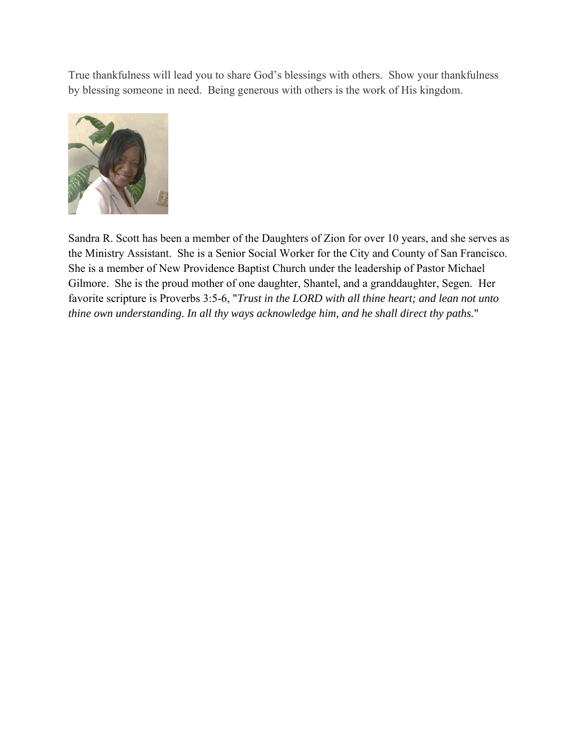True thankfulness will lead you to share God's blessings with others. Show your thankfulness by blessing someone in need. Being generous with others is the work of His kingdom.



Sandra R. Scott has been a member of the Daughters of Zion for over 10 years, and she serves as the Ministry Assistant. She is a Senior Social Worker for the City and County of San Francisco. She is a member of New Providence Baptist Church under the leadership of Pastor Michael Gilmore. She is the proud mother of one daughter, Shantel, and a granddaughter, Segen. Her favorite scripture is Proverbs 3:5-6, "*Trust in the LORD with all thine heart; and lean not unto thine own understanding. In all thy ways acknowledge him, and he shall direct thy paths.*"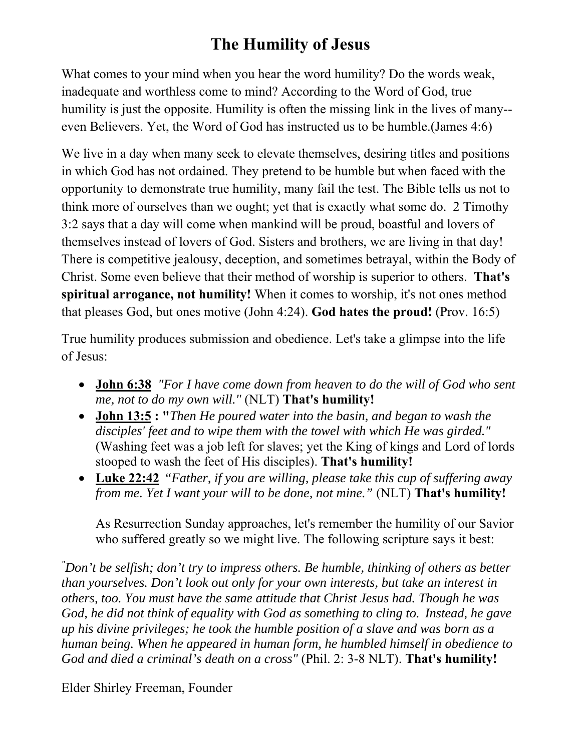# **The Humility of Jesus**

What comes to your mind when you hear the word humility? Do the words weak, inadequate and worthless come to mind? According to the Word of God, true humility is just the opposite. Humility is often the missing link in the lives of many- even Believers. Yet, the Word of God has instructed us to be humble.(James 4:6)

We live in a day when many seek to elevate themselves, desiring titles and positions in which God has not ordained. They pretend to be humble but when faced with the opportunity to demonstrate true humility, many fail the test. The Bible tells us not to think more of ourselves than we ought; yet that is exactly what some do. 2 Timothy 3:2 says that a day will come when mankind will be proud, boastful and lovers of themselves instead of lovers of God. Sisters and brothers, we are living in that day! There is competitive jealousy, deception, and sometimes betrayal, within the Body of Christ. Some even believe that their method of worship is superior to others. **That's spiritual arrogance, not humility!** When it comes to worship, it's not ones method that pleases God, but ones motive (John 4:24). **God hates the proud!** (Prov. 16:5)

True humility produces submission and obedience. Let's take a glimpse into the life of Jesus:

- **John 6:38** *"For I have come down from heaven to do the will of God who sent me, not to do my own will."* (NLT) **That's humility!**
- **John 13:5 : "***Then He poured water into the basin, and began to wash the disciples' feet and to wipe them with the towel with which He was girded."* (Washing feet was a job left for slaves; yet the King of kings and Lord of lords stooped to wash the feet of His disciples). **That's humility!**
- **Luke 22:42** *"Father, if you are willing, please take this cup of suffering away from me. Yet I want your will to be done, not mine."* (NLT) **That's humility!**

As Resurrection Sunday approaches, let's remember the humility of our Savior who suffered greatly so we might live. The following scripture says it best:

*" Don't be selfish; don't try to impress others. Be humble, thinking of others as better than yourselves. Don't look out only for your own interests, but take an interest in others, too. You must have the same attitude that Christ Jesus had. Though he was God, he did not think of equality with God as something to cling to. Instead, he gave up his divine privileges; he took the humble position of a slave and was born as a human being. When he appeared in human form, he humbled himself in obedience to God and died a criminal's death on a cross"* (Phil. 2: 3-8 NLT). **That's humility!**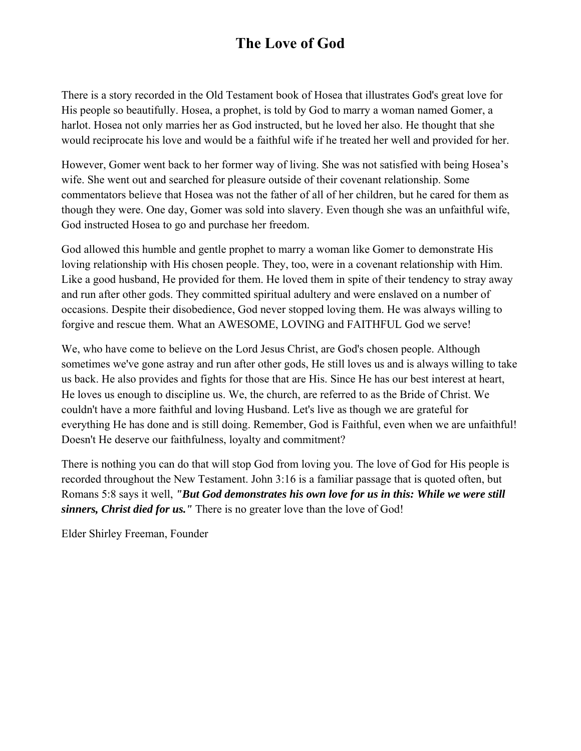# **The Love of God**

There is a story recorded in the Old Testament book of Hosea that illustrates God's great love for His people so beautifully. Hosea, a prophet, is told by God to marry a woman named Gomer, a harlot. Hosea not only marries her as God instructed, but he loved her also. He thought that she would reciprocate his love and would be a faithful wife if he treated her well and provided for her.

However, Gomer went back to her former way of living. She was not satisfied with being Hosea's wife. She went out and searched for pleasure outside of their covenant relationship. Some commentators believe that Hosea was not the father of all of her children, but he cared for them as though they were. One day, Gomer was sold into slavery. Even though she was an unfaithful wife, God instructed Hosea to go and purchase her freedom.

God allowed this humble and gentle prophet to marry a woman like Gomer to demonstrate His loving relationship with His chosen people. They, too, were in a covenant relationship with Him. Like a good husband, He provided for them. He loved them in spite of their tendency to stray away and run after other gods. They committed spiritual adultery and were enslaved on a number of occasions. Despite their disobedience, God never stopped loving them. He was always willing to forgive and rescue them. What an AWESOME, LOVING and FAITHFUL God we serve!

We, who have come to believe on the Lord Jesus Christ, are God's chosen people. Although sometimes we've gone astray and run after other gods, He still loves us and is always willing to take us back. He also provides and fights for those that are His. Since He has our best interest at heart, He loves us enough to discipline us. We, the church, are referred to as the Bride of Christ. We couldn't have a more faithful and loving Husband. Let's live as though we are grateful for everything He has done and is still doing. Remember, God is Faithful, even when we are unfaithful! Doesn't He deserve our faithfulness, loyalty and commitment?

There is nothing you can do that will stop God from loving you. The love of God for His people is recorded throughout the New Testament. John 3:16 is a familiar passage that is quoted often, but Romans 5:8 says it well, *"But God demonstrates his own love for us in this: While we were still sinners, Christ died for us."* There is no greater love than the love of God!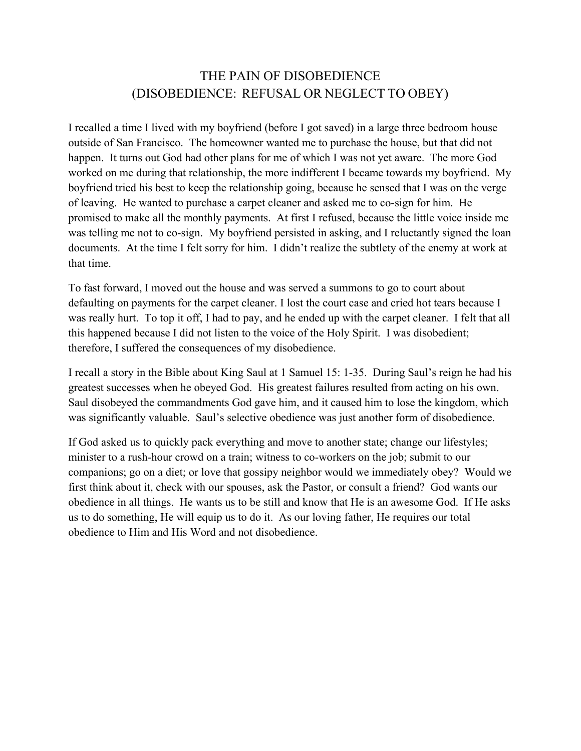## THE PAIN OF DISOBEDIENCE (DISOBEDIENCE: REFUSAL OR NEGLECT TO OBEY)

I recalled a time I lived with my boyfriend (before I got saved) in a large three bedroom house outside of San Francisco. The homeowner wanted me to purchase the house, but that did not happen. It turns out God had other plans for me of which I was not yet aware. The more God worked on me during that relationship, the more indifferent I became towards my boyfriend. My boyfriend tried his best to keep the relationship going, because he sensed that I was on the verge of leaving. He wanted to purchase a carpet cleaner and asked me to co-sign for him. He promised to make all the monthly payments. At first I refused, because the little voice inside me was telling me not to co-sign. My boyfriend persisted in asking, and I reluctantly signed the loan documents. At the time I felt sorry for him. I didn't realize the subtlety of the enemy at work at that time.

To fast forward, I moved out the house and was served a summons to go to court about defaulting on payments for the carpet cleaner. I lost the court case and cried hot tears because I was really hurt. To top it off, I had to pay, and he ended up with the carpet cleaner. I felt that all this happened because I did not listen to the voice of the Holy Spirit. I was disobedient; therefore, I suffered the consequences of my disobedience.

I recall a story in the Bible about King Saul at 1 Samuel 15: 1-35. During Saul's reign he had his greatest successes when he obeyed God. His greatest failures resulted from acting on his own. Saul disobeyed the commandments God gave him, and it caused him to lose the kingdom, which was significantly valuable. Saul's selective obedience was just another form of disobedience.

If God asked us to quickly pack everything and move to another state; change our lifestyles; minister to a rush-hour crowd on a train; witness to co-workers on the job; submit to our companions; go on a diet; or love that gossipy neighbor would we immediately obey? Would we first think about it, check with our spouses, ask the Pastor, or consult a friend? God wants our obedience in all things. He wants us to be still and know that He is an awesome God. If He asks us to do something, He will equip us to do it. As our loving father, He requires our total obedience to Him and His Word and not disobedience.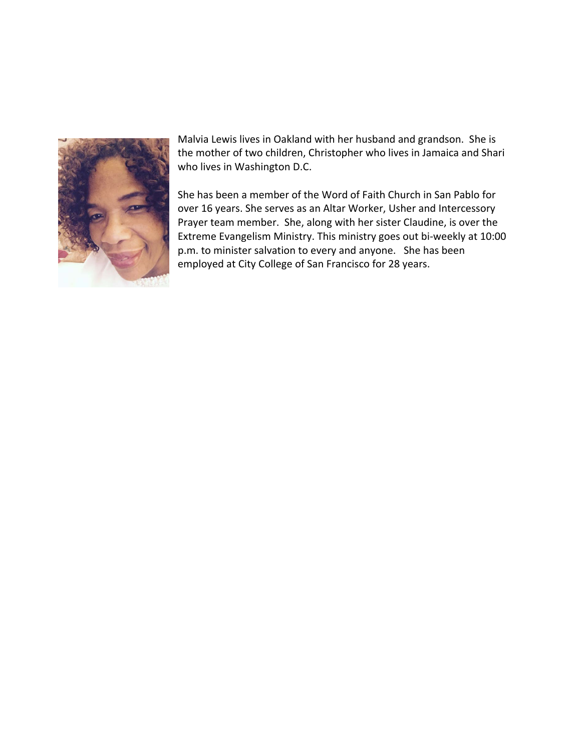

Malvia Lewis lives in Oakland with her husband and grandson. She is the mother of two children, Christopher who lives in Jamaica and Shari who lives in Washington D.C.

She has been a member of the Word of Faith Church in San Pablo for over 16 years. She serves as an Altar Worker, Usher and Intercessory Prayer team member. She, along with her sister Claudine, is over the Extreme Evangelism Ministry. This ministry goes out bi‐weekly at 10:00 p.m. to minister salvation to every and anyone. She has been employed at City College of San Francisco for 28 years.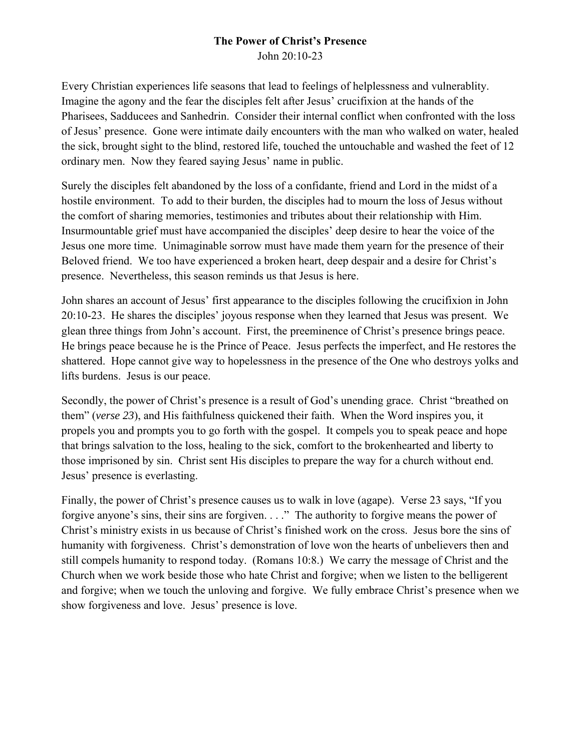#### **The Power of Christ's Presence**

John 20:10-23

Every Christian experiences life seasons that lead to feelings of helplessness and vulnerablity. Imagine the agony and the fear the disciples felt after Jesus' crucifixion at the hands of the Pharisees, Sadducees and Sanhedrin. Consider their internal conflict when confronted with the loss of Jesus' presence. Gone were intimate daily encounters with the man who walked on water, healed the sick, brought sight to the blind, restored life, touched the untouchable and washed the feet of 12 ordinary men. Now they feared saying Jesus' name in public.

Surely the disciples felt abandoned by the loss of a confidante, friend and Lord in the midst of a hostile environment. To add to their burden, the disciples had to mourn the loss of Jesus without the comfort of sharing memories, testimonies and tributes about their relationship with Him. Insurmountable grief must have accompanied the disciples' deep desire to hear the voice of the Jesus one more time. Unimaginable sorrow must have made them yearn for the presence of their Beloved friend. We too have experienced a broken heart, deep despair and a desire for Christ's presence. Nevertheless, this season reminds us that Jesus is here.

John shares an account of Jesus' first appearance to the disciples following the crucifixion in John 20:10-23. He shares the disciples' joyous response when they learned that Jesus was present. We glean three things from John's account. First, the preeminence of Christ's presence brings peace. He brings peace because he is the Prince of Peace. Jesus perfects the imperfect, and He restores the shattered. Hope cannot give way to hopelessness in the presence of the One who destroys yolks and lifts burdens. Jesus is our peace.

Secondly, the power of Christ's presence is a result of God's unending grace. Christ "breathed on them" (*verse 23*), and His faithfulness quickened their faith. When the Word inspires you, it propels you and prompts you to go forth with the gospel. It compels you to speak peace and hope that brings salvation to the loss, healing to the sick, comfort to the brokenhearted and liberty to those imprisoned by sin. Christ sent His disciples to prepare the way for a church without end. Jesus' presence is everlasting.

Finally, the power of Christ's presence causes us to walk in love (agape). Verse 23 says, "If you forgive anyone's sins, their sins are forgiven. . . ." The authority to forgive means the power of Christ's ministry exists in us because of Christ's finished work on the cross. Jesus bore the sins of humanity with forgiveness. Christ's demonstration of love won the hearts of unbelievers then and still compels humanity to respond today. (Romans 10:8.) We carry the message of Christ and the Church when we work beside those who hate Christ and forgive; when we listen to the belligerent and forgive; when we touch the unloving and forgive. We fully embrace Christ's presence when we show forgiveness and love. Jesus' presence is love.